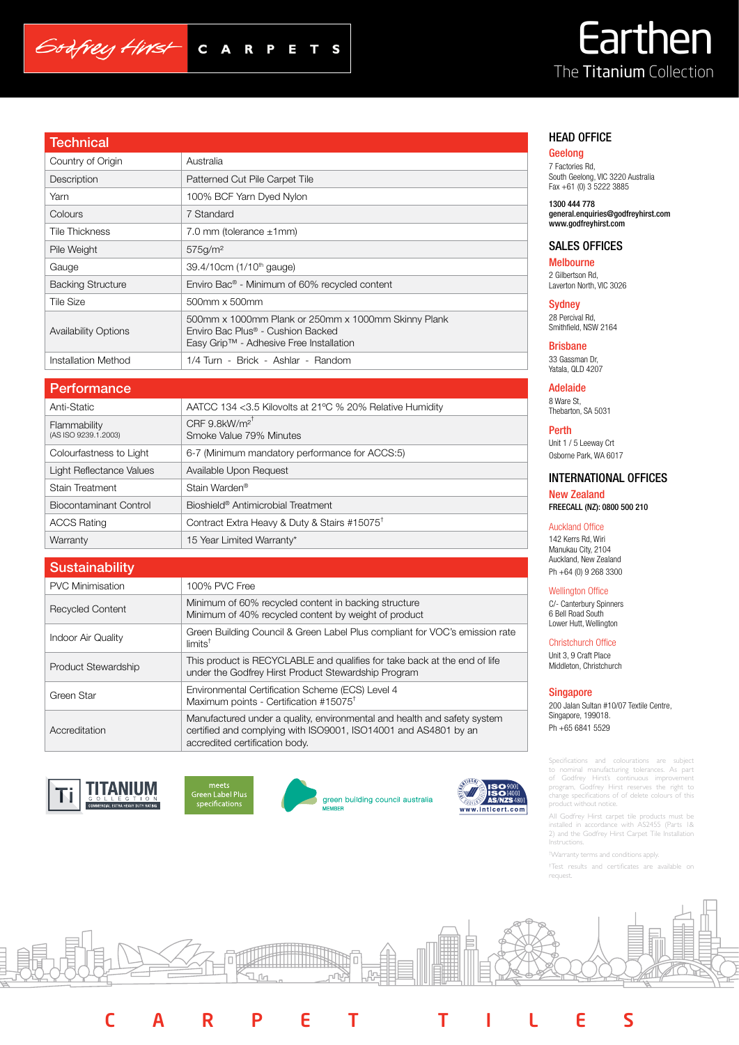# Godfrey Hirst C A R

# Earthen The Titanium Collection

# HEAD OFFICE

## Geelong

7 Factories Rd, South Geelong, VIC 3220 Australia Fax +61 (0) 3 5222 3885

1300 444 778 general.enquiries@godfreyhirst.com www.godfreyhirst.com

# SALES OFFICES

Melbourne 2 Gilbertson Rd, Laverton North, VIC 3026

**Sydney** 28 Percival Rd, Smithfield, NSW 2164

Brisbane 33 Gassman Dr, Yatala, QLD 4207

Adelaide 8 Ware St, Thebarton, SA 5031

Perth Unit 1 / 5 Leeway Crt Osborne Park, WA 6017

# INTERNATIONAL OFFICES

New Zealand FREECALL (NZ): 0800 500 210

## Auckland Office

142 Kerrs Rd, Wiri Manukau City, 2104 Auckland, New Zealand Ph +64 (0) 9 268 3300

### Wellington Office

C/- Canterbury Spinners 6 Bell Road South Lower Hutt, Wellington

Christchurch Office

Unit 3, 9 Craft Place Middleton, Christchurch

#### Singapore

200 Jalan Sultan #10/07 Textile Centre, Singapore, 199018. Ph +65 6841 5529

Specifications and colourations are subject to nominal manufacturing tolerances. As part of Godfrey Hirst's continuous improvement program, Godfrey Hirst reserves the right to change specifications of of delete colours of this product without notice.

All Godfrey Hirst carpet tile products must be installed in accordance with AS2455 (Parts 1& 2) and the Godfrey Hirst Carpet Tile Installation **Instructions** 

† Warranty terms and conditions apply.

† Test results and certificates are available on request.

| Technical                   |                                                                                                                                     |
|-----------------------------|-------------------------------------------------------------------------------------------------------------------------------------|
| Country of Origin           | Australia                                                                                                                           |
| Description                 | Patterned Cut Pile Carpet Tile                                                                                                      |
| Yarn                        | 100% BCF Yarn Dyed Nylon                                                                                                            |
| Colours                     | 7 Standard                                                                                                                          |
| <b>Tile Thickness</b>       | 7.0 mm (tolerance $\pm$ 1 mm)                                                                                                       |
| Pile Weight                 | 575g/m <sup>2</sup>                                                                                                                 |
| Gauge                       | 39.4/10cm (1/10 <sup>th</sup> gauge)                                                                                                |
| <b>Backing Structure</b>    | Enviro Bac <sup>®</sup> - Minimum of 60% recycled content                                                                           |
| <b>Tile Size</b>            | 500mm x 500mm                                                                                                                       |
| <b>Availability Options</b> | 500mm x 1000mm Plank or 250mm x 1000mm Skinny Plank<br>Enviro Bac Plus® - Cushion Backed<br>Easy Grip™ - Adhesive Free Installation |
| Installation Method         | 1/4 Turn - Brick - Ashlar - Random                                                                                                  |
|                             |                                                                                                                                     |

 $\blacksquare$ P

S

## **Performance**

| Anti-Static                          | AATCC 134 <3.5 Kilovolts at 21°C % 20% Relative Humidity           |
|--------------------------------------|--------------------------------------------------------------------|
| Flammability<br>(AS ISO 9239.1.2003) | CRF $9.8$ kW/m <sup>2<sup>T</sup></sup><br>Smoke Value 79% Minutes |
| Colourfastness to Light              | 6-7 (Minimum mandatory performance for ACCS:5)                     |
| Light Reflectance Values             | Available Upon Request                                             |
| Stain Treatment                      | Stain Warden <sup>®</sup>                                          |
| Biocontaminant Control               | Bioshield <sup>®</sup> Antimicrobial Treatment                     |
| <b>ACCS Rating</b>                   | Contract Extra Heavy & Duty & Stairs #15075 <sup>t</sup>           |
| Warranty                             | 15 Year Limited Warranty*                                          |

| <b>Sustainability</b>   |                                                                                                                                                                               |
|-------------------------|-------------------------------------------------------------------------------------------------------------------------------------------------------------------------------|
| <b>PVC Minimisation</b> | 100% PVC Free                                                                                                                                                                 |
| <b>Recycled Content</b> | Minimum of 60% recycled content in backing structure<br>Minimum of 40% recycled content by weight of product                                                                  |
| Indoor Air Quality      | Green Building Council & Green Label Plus compliant for VOC's emission rate<br>$limits^{\dagger}$                                                                             |
| Product Stewardship     | This product is RECYCLABLE and qualifies for take back at the end of life<br>under the Godfrey Hirst Product Stewardship Program                                              |
| Green Star              | Environmental Certification Scheme (ECS) Level 4<br>Maximum points - Certification #15075 <sup>t</sup>                                                                        |
| Accreditation           | Manufactured under a quality, environmental and health and safety system<br>certified and complying with ISO9001, ISO14001 and AS4801 by an<br>accredited certification body. |







green building council australia

CARPET TILES